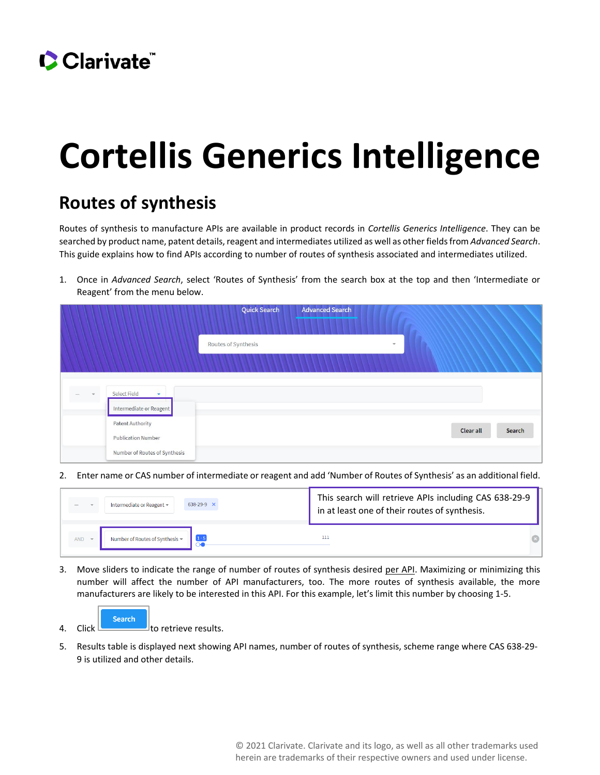

## **Cortellis Generics Intelligence**

## **Routes of synthesis**

Routes of synthesis to manufacture APIs are available in product records in *Cortellis Generics Intelligence*. They can be searched by product name, patent details, reagent and intermediates utilized as well as other fields from *Advanced Search*. This guide explains how to find APIs according to number of routes of synthesis associated and intermediates utilized.

1. Once in *Advanced Search*, select 'Routes of Synthesis' from the search box at the top and then 'Intermediate or Reagent' from the menu below.

|               |                                                                    | <b>Quick Search</b><br><b>Advanced Search</b>  |        |
|---------------|--------------------------------------------------------------------|------------------------------------------------|--------|
|               |                                                                    | Routes of Synthesis<br>$\overline{\mathbf{v}}$ |        |
| $\rightarrow$ | Select Field<br>$\overline{\mathbf{v}}$<br>Intermediate or Reagent |                                                |        |
|               | <b>Patent Authority</b><br><b>Publication Number</b>               | <b>Clear all</b>                               | Search |
|               | Number of Routes of Synthesis                                      |                                                |        |

2. Enter name or CAS number of intermediate or reagent and add 'Number of Routes of Synthesis' as an additional field.

| 638-29-9 X                             | This search will retrieve APIs including CAS 638-29-9 |
|----------------------------------------|-------------------------------------------------------|
| Intermediate or Reagent -              | in at least one of their routes of synthesis.         |
| Number of Routes of Synthesis *<br>AND | 111                                                   |

3. Move sliders to indicate the range of number of routes of synthesis desired per API. Maximizing or minimizing this number will affect the number of API manufacturers, too. The more routes of synthesis available, the more manufacturers are likely to be interested in this API. For this example, let's limit this number by choosing 1-5.



5. Results table is displayed next showing API names, number of routes of synthesis, scheme range where CAS 638-29- 9 is utilized and other details.